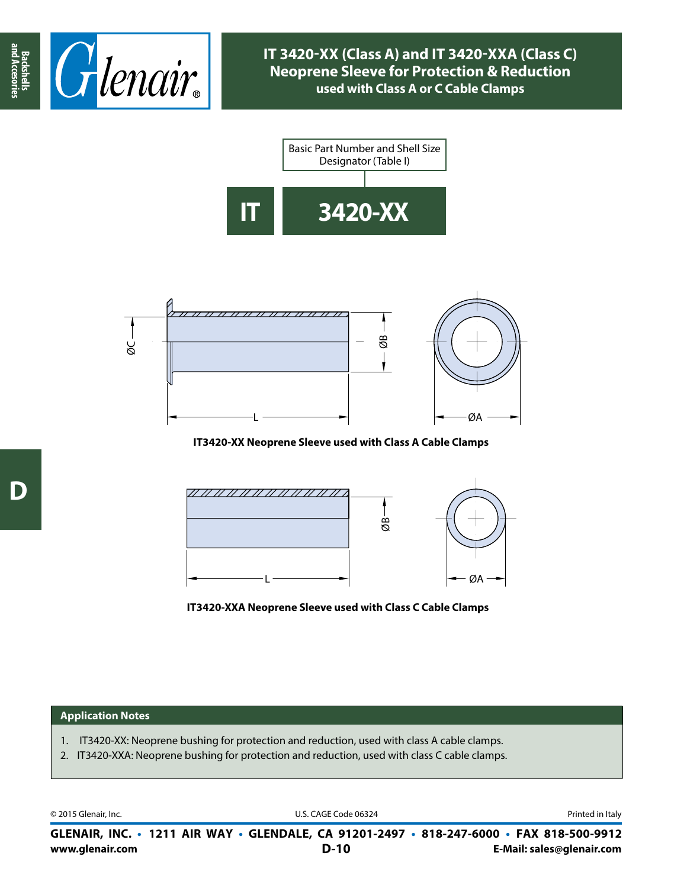





**IT3420-XX Neoprene Sleeve used with Class A Cable Clamps**



**IT3420-XXA Neoprene Sleeve used with Class C Cable Clamps**

## **Application Notes**

- 1. IT3420-XX: Neoprene bushing for protection and reduction, used with class A cable clamps.
- 2. IT3420-XXA: Neoprene bushing for protection and reduction, used with class C cable clamps.

© 2015 Glenair, Inc. **Discription Construction Construction Construction Construction Construction Construction Construction Construction Construction Construction Construction Construction Construction Construction Constr** 

**www.glenair.com E-Mail: sales@glenair.com GLENAIR, INC. • 1211 AIR WAY • GLENDALE, CA 91201-2497 • 818-247-6000 • FAX 818-500-9912 D-10**